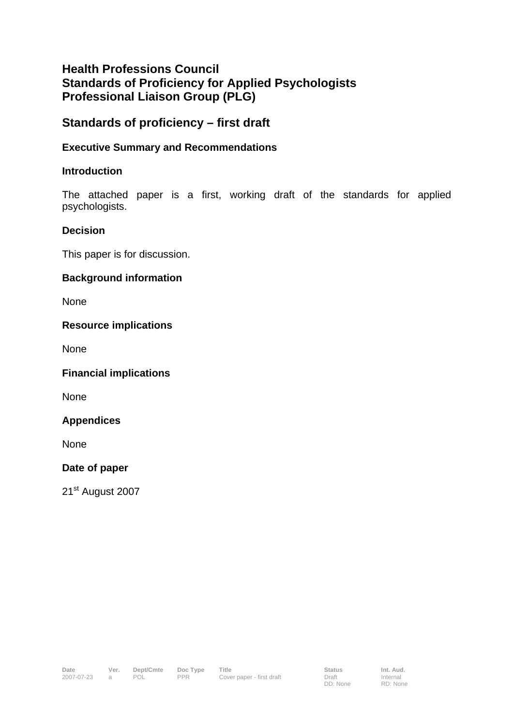# **Health Professions Council Standards of Proficiency for Applied Psychologists Professional Liaison Group (PLG)**

## **Standards of proficiency – first draft**

## **Executive Summary and Recommendations**

## **Introduction**

The attached paper is a first, working draft of the standards for applied psychologists.

#### **Decision**

This paper is for discussion.

## **Background information**

None

## **Resource implications**

None

**Financial implications** 

None

#### **Appendices**

None

#### **Date of paper**

21<sup>st</sup> August 2007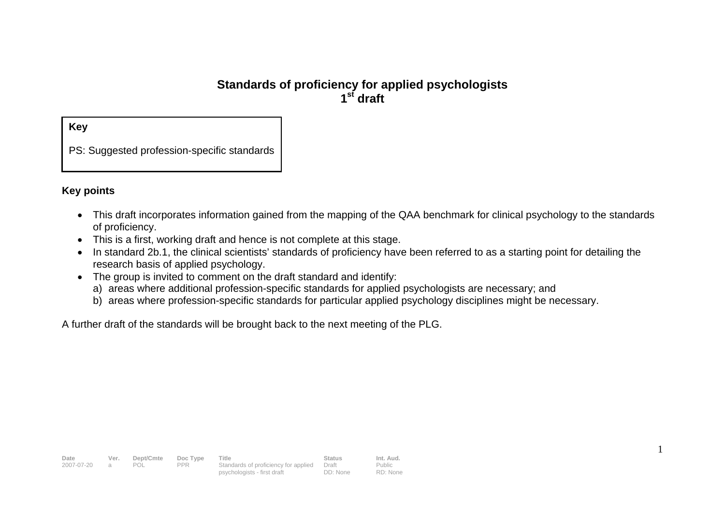## **Standards of proficiency for applied psychologists 1st draft**

**Key** 

PS: Suggested profession-specific standards

#### **Key points**

- This draft incorporates information gained from the mapping of the QAA benchmark for clinical psychology to the standards of proficiency.
- This is a first, working draft and hence is not complete at this stage.
- In standard 2b.1, the clinical scientists' standards of proficiency have been referred to as a starting point for detailing the research basis of applied psychology.

1

- The group is invited to comment on the draft standard and identify:
	- a) areas where additional profession-specific standards for applied psychologists are necessary; and
	- b) areas where profession-specific standards for particular applied psychology disciplines might be necessary.

A further draft of the standards will be brought back to the next meeting of the PLG.

| Date       | Ver. | Dept/Cmte  | Doc Type | Title                                | Status   | Int. Aud. |
|------------|------|------------|----------|--------------------------------------|----------|-----------|
| 2007-07-20 |      | <b>POL</b> | PPR.     | Standards of proficiency for applied | Draft    | Public    |
|            |      |            |          | psychologists - first draft          | DD: None | RD: None  |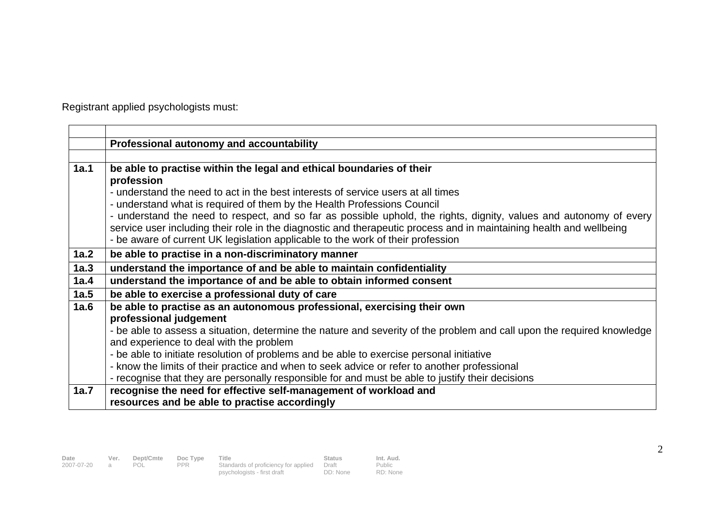Registrant applied psychologists must:

|      | Professional autonomy and accountability                                                                               |
|------|------------------------------------------------------------------------------------------------------------------------|
|      |                                                                                                                        |
| 1a.1 | be able to practise within the legal and ethical boundaries of their                                                   |
|      | profession                                                                                                             |
|      | - understand the need to act in the best interests of service users at all times                                       |
|      | - understand what is required of them by the Health Professions Council                                                |
|      | - understand the need to respect, and so far as possible uphold, the rights, dignity, values and autonomy of every     |
|      | service user including their role in the diagnostic and therapeutic process and in maintaining health and wellbeing    |
|      | - be aware of current UK legislation applicable to the work of their profession                                        |
| 1a.2 | be able to practise in a non-discriminatory manner                                                                     |
| 1a.3 | understand the importance of and be able to maintain confidentiality                                                   |
| 1a.4 | understand the importance of and be able to obtain informed consent                                                    |
| 1a.5 | be able to exercise a professional duty of care                                                                        |
| 1a.6 | be able to practise as an autonomous professional, exercising their own                                                |
|      | professional judgement                                                                                                 |
|      | - be able to assess a situation, determine the nature and severity of the problem and call upon the required knowledge |
|      | and experience to deal with the problem                                                                                |
|      | - be able to initiate resolution of problems and be able to exercise personal initiative                               |
|      | - know the limits of their practice and when to seek advice or refer to another professional                           |
|      | - recognise that they are personally responsible for and must be able to justify their decisions                       |
| 1a.7 | recognise the need for effective self-management of workload and                                                       |
|      | resources and be able to practise accordingly                                                                          |

| Date       | Ver. | Dept/Cmte | Doc Type | Title                                | <b>Status</b> | Int. Aud. |
|------------|------|-----------|----------|--------------------------------------|---------------|-----------|
| 2007-07-20 |      | POL       | PPR      | Standards of proficiency for applied | Draft         | Public    |
|            |      |           |          | psychologists - first draft          | DD: None      | RD: None  |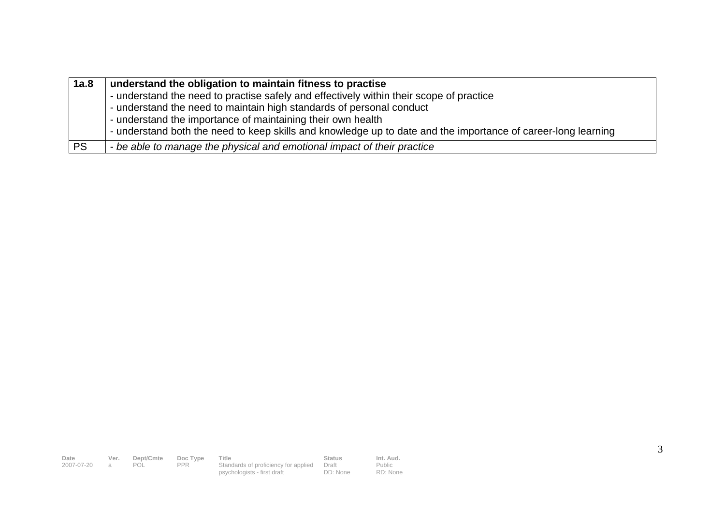| 1a.8      | understand the obligation to maintain fitness to practise                                                     |
|-----------|---------------------------------------------------------------------------------------------------------------|
|           | - understand the need to practise safely and effectively within their scope of practice                       |
|           | - understand the need to maintain high standards of personal conduct                                          |
|           | - understand the importance of maintaining their own health                                                   |
|           | - understand both the need to keep skills and knowledge up to date and the importance of career-long learning |
| <b>PS</b> | - be able to manage the physical and emotional impact of their practice                                       |

| Date       | Ver.  | Dept/Cmte | Doc Type   | Title                                      | <b>Status</b> | Int. Aud. |
|------------|-------|-----------|------------|--------------------------------------------|---------------|-----------|
| 2007-07-20 | a a a |           | <b>PPR</b> | Standards of proficiency for applied Draft |               | Public    |
|            |       |           |            | psychologists - first draft                | DD: None      | RD: None  |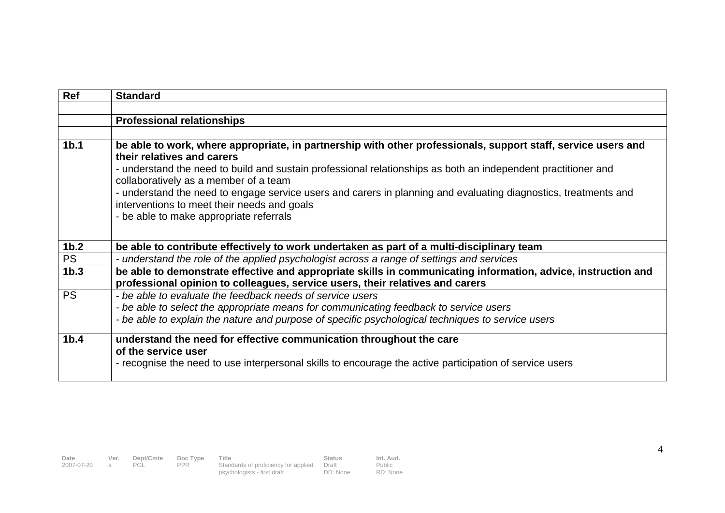| <b>Ref</b>       | <b>Standard</b>                                                                                                                                                                                |
|------------------|------------------------------------------------------------------------------------------------------------------------------------------------------------------------------------------------|
|                  |                                                                                                                                                                                                |
|                  | <b>Professional relationships</b>                                                                                                                                                              |
|                  |                                                                                                                                                                                                |
| 1 <sub>b.1</sub> | be able to work, where appropriate, in partnership with other professionals, support staff, service users and<br>their relatives and carers                                                    |
|                  | - understand the need to build and sustain professional relationships as both an independent practitioner and<br>collaboratively as a member of a team                                         |
|                  | - understand the need to engage service users and carers in planning and evaluating diagnostics, treatments and<br>interventions to meet their needs and goals                                 |
|                  | - be able to make appropriate referrals                                                                                                                                                        |
|                  |                                                                                                                                                                                                |
| 1 <sub>b.2</sub> | be able to contribute effectively to work undertaken as part of a multi-disciplinary team                                                                                                      |
| <b>PS</b>        | - understand the role of the applied psychologist across a range of settings and services                                                                                                      |
| 1 <sub>b.3</sub> | be able to demonstrate effective and appropriate skills in communicating information, advice, instruction and<br>professional opinion to colleagues, service users, their relatives and carers |
| <b>PS</b>        | - be able to evaluate the feedback needs of service users                                                                                                                                      |
|                  | - be able to select the appropriate means for communicating feedback to service users                                                                                                          |
|                  | - be able to explain the nature and purpose of specific psychological techniques to service users                                                                                              |
| 1 <sub>b.4</sub> | understand the need for effective communication throughout the care<br>of the service user                                                                                                     |
|                  | - recognise the need to use interpersonal skills to encourage the active participation of service users                                                                                        |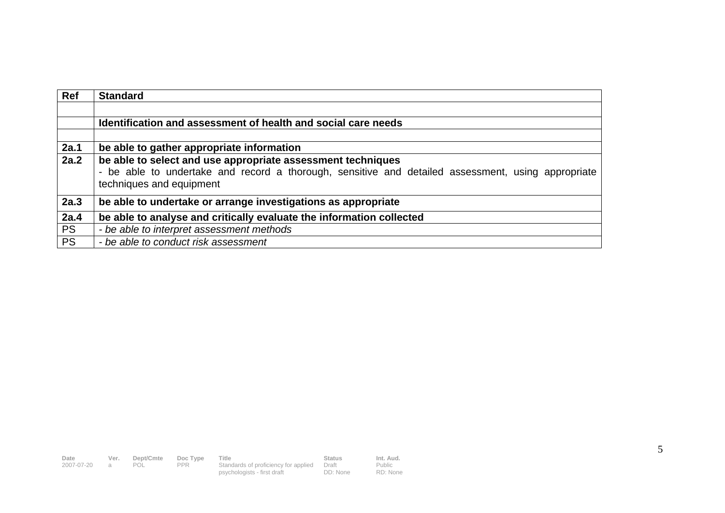| <b>Ref</b> | <b>Standard</b>                                                                                                                                                                               |
|------------|-----------------------------------------------------------------------------------------------------------------------------------------------------------------------------------------------|
|            |                                                                                                                                                                                               |
|            | Identification and assessment of health and social care needs                                                                                                                                 |
|            |                                                                                                                                                                                               |
| 2a.1       | be able to gather appropriate information                                                                                                                                                     |
| 2a.2       | be able to select and use appropriate assessment techniques<br>- be able to undertake and record a thorough, sensitive and detailed assessment, using appropriate<br>techniques and equipment |
| 2a.3       | be able to undertake or arrange investigations as appropriate                                                                                                                                 |
| 2a.4       | be able to analyse and critically evaluate the information collected                                                                                                                          |
| <b>PS</b>  | - be able to interpret assessment methods                                                                                                                                                     |
| <b>PS</b>  | - be able to conduct risk assessment                                                                                                                                                          |

| Date       | Ver. | Dept/Cmte | Doc Type | Title                                      | <b>Status</b> | Int. Aud. |
|------------|------|-----------|----------|--------------------------------------------|---------------|-----------|
| 2007-07-20 |      | POL       | PPR.     | Standards of proficiency for applied Draft |               | Public    |
|            |      |           |          | psychologists - first draft                | DD: None      | RD: None  |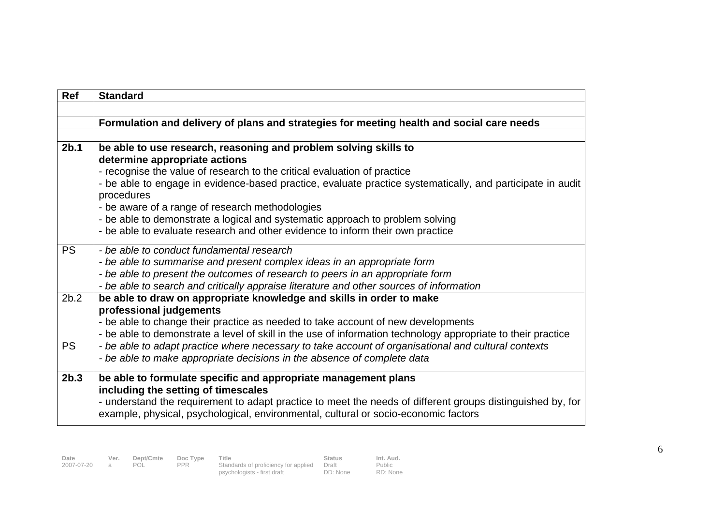| <b>Ref</b>       | <b>Standard</b>                                                                                                                  |
|------------------|----------------------------------------------------------------------------------------------------------------------------------|
|                  |                                                                                                                                  |
|                  | Formulation and delivery of plans and strategies for meeting health and social care needs                                        |
|                  |                                                                                                                                  |
| 2 <sub>b.1</sub> | be able to use research, reasoning and problem solving skills to                                                                 |
|                  | determine appropriate actions                                                                                                    |
|                  | - recognise the value of research to the critical evaluation of practice                                                         |
|                  | - be able to engage in evidence-based practice, evaluate practice systematically, and participate in audit                       |
|                  | procedures                                                                                                                       |
|                  | - be aware of a range of research methodologies<br>- be able to demonstrate a logical and systematic approach to problem solving |
|                  | - be able to evaluate research and other evidence to inform their own practice                                                   |
|                  |                                                                                                                                  |
| <b>PS</b>        | - be able to conduct fundamental research                                                                                        |
|                  | - be able to summarise and present complex ideas in an appropriate form                                                          |
|                  | - be able to present the outcomes of research to peers in an appropriate form                                                    |
|                  | - be able to search and critically appraise literature and other sources of information                                          |
| 2b.2             | be able to draw on appropriate knowledge and skills in order to make                                                             |
|                  | professional judgements                                                                                                          |
|                  | - be able to change their practice as needed to take account of new developments                                                 |
|                  | - be able to demonstrate a level of skill in the use of information technology appropriate to their practice                     |
| <b>PS</b>        | - be able to adapt practice where necessary to take account of organisational and cultural contexts                              |
|                  | - be able to make appropriate decisions in the absence of complete data                                                          |
| 2b.3             | be able to formulate specific and appropriate management plans                                                                   |
|                  | including the setting of timescales                                                                                              |
|                  | - understand the requirement to adapt practice to meet the needs of different groups distinguished by, for                       |
|                  | example, physical, psychological, environmental, cultural or socio-economic factors                                              |
|                  |                                                                                                                                  |

Draft DD: None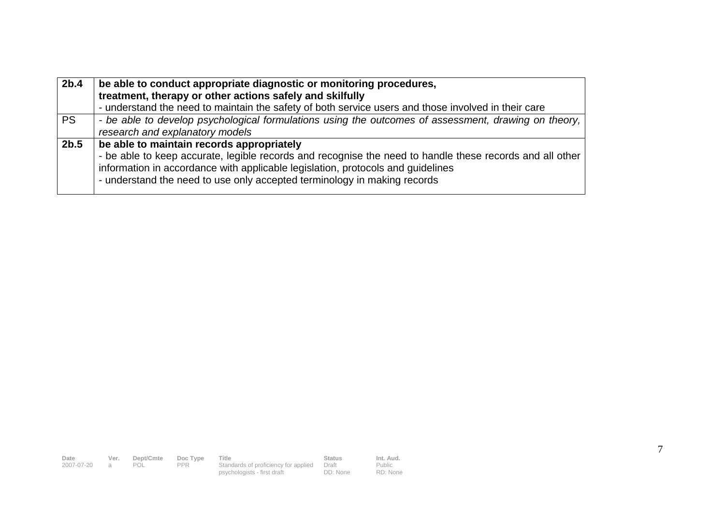| 2 <sub>b.4</sub> | be able to conduct appropriate diagnostic or monitoring procedures,<br>treatment, therapy or other actions safely and skilfully                                                                                                                                                                                      |
|------------------|----------------------------------------------------------------------------------------------------------------------------------------------------------------------------------------------------------------------------------------------------------------------------------------------------------------------|
|                  | - understand the need to maintain the safety of both service users and those involved in their care                                                                                                                                                                                                                  |
| <b>PS</b>        | - be able to develop psychological formulations using the outcomes of assessment, drawing on theory,<br>research and explanatory models                                                                                                                                                                              |
| 2b.5             | be able to maintain records appropriately<br>- be able to keep accurate, legible records and recognise the need to handle these records and all other<br>information in accordance with applicable legislation, protocols and guidelines<br>- understand the need to use only accepted terminology in making records |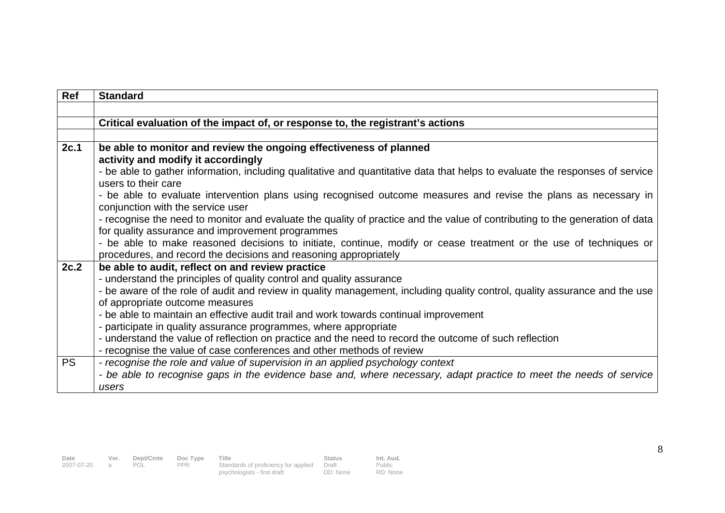| Ref       | <b>Standard</b>                                                                                                                                                                       |
|-----------|---------------------------------------------------------------------------------------------------------------------------------------------------------------------------------------|
|           |                                                                                                                                                                                       |
|           | Critical evaluation of the impact of, or response to, the registrant's actions                                                                                                        |
|           |                                                                                                                                                                                       |
| 2c.1      | be able to monitor and review the ongoing effectiveness of planned                                                                                                                    |
|           | activity and modify it accordingly                                                                                                                                                    |
|           | - be able to gather information, including qualitative and quantitative data that helps to evaluate the responses of service                                                          |
|           | users to their care                                                                                                                                                                   |
|           | - be able to evaluate intervention plans using recognised outcome measures and revise the plans as necessary in<br>conjunction with the service user                                  |
|           | - recognise the need to monitor and evaluate the quality of practice and the value of contributing to the generation of data                                                          |
|           | for quality assurance and improvement programmes                                                                                                                                      |
|           | - be able to make reasoned decisions to initiate, continue, modify or cease treatment or the use of techniques or<br>procedures, and record the decisions and reasoning appropriately |
| 2c.2      | be able to audit, reflect on and review practice                                                                                                                                      |
|           | - understand the principles of quality control and quality assurance                                                                                                                  |
|           | - be aware of the role of audit and review in quality management, including quality control, quality assurance and the use                                                            |
|           | of appropriate outcome measures                                                                                                                                                       |
|           | - be able to maintain an effective audit trail and work towards continual improvement                                                                                                 |
|           | - participate in quality assurance programmes, where appropriate                                                                                                                      |
|           | - understand the value of reflection on practice and the need to record the outcome of such reflection                                                                                |
|           | - recognise the value of case conferences and other methods of review                                                                                                                 |
| <b>PS</b> | - recognise the role and value of supervision in an applied psychology context                                                                                                        |
|           | - be able to recognise gaps in the evidence base and, where necessary, adapt practice to meet the needs of service                                                                    |
|           | users                                                                                                                                                                                 |